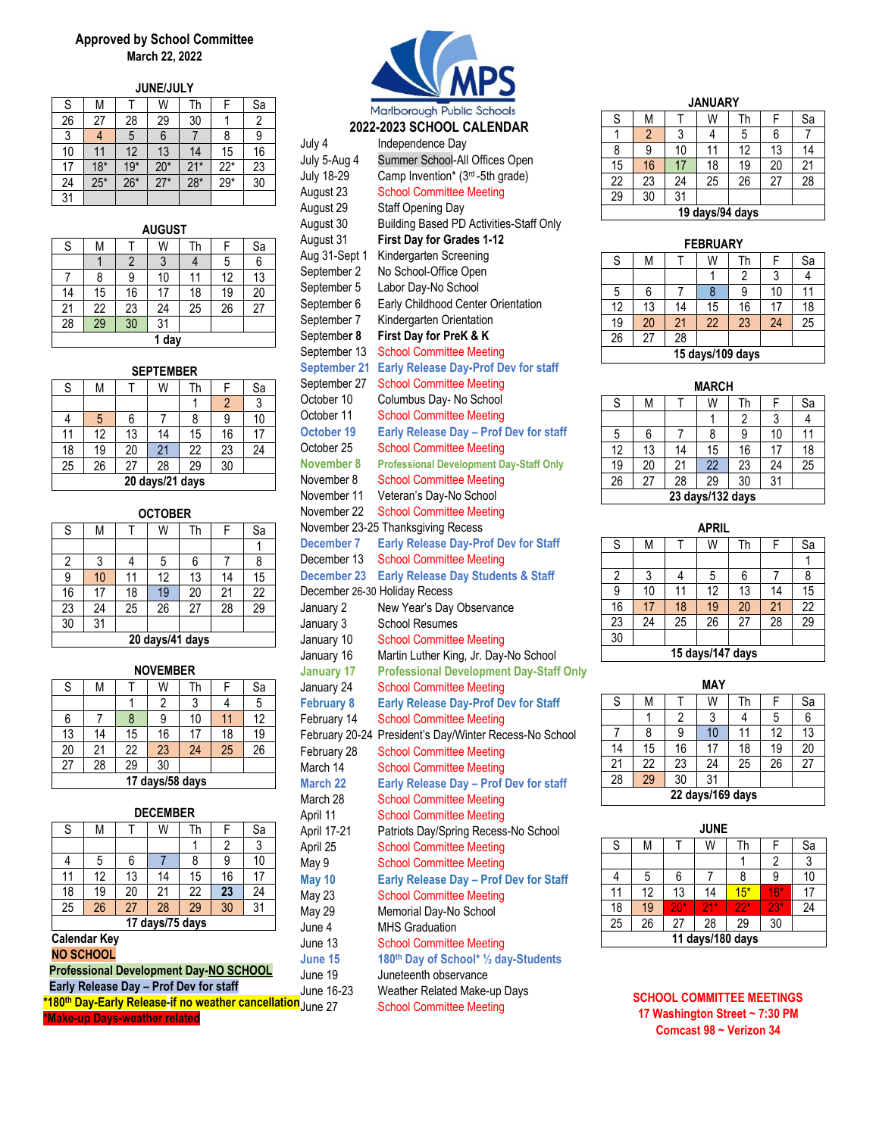# **Approved by School Committee March 22, 2022**

| JUNE/JULY |       |       |       |       |       |    |  |  |
|-----------|-------|-------|-------|-------|-------|----|--|--|
| S         | M     |       | W     | Th    |       | Sa |  |  |
| 26        | 27    | 28    | 29    | 30    |       | 2  |  |  |
| 3         |       | 5     | 6     |       | 8     | 9  |  |  |
| 10        |       | 12    | 13    | 14    | 15    | 16 |  |  |
| 17        | $18*$ | $19*$ | $20*$ | $21*$ | $22*$ | 23 |  |  |
| 24        | $25*$ | $26*$ | $27*$ | $28*$ | $29*$ | 30 |  |  |
| 31        |       |       |       |       |       |    |  |  |

| <b>AUGUST</b> |                 |    |    |    |    |                |  |  |
|---------------|-----------------|----|----|----|----|----------------|--|--|
| S             | M               |    | W  | Th | F  | <u>Sa</u>      |  |  |
|               |                 | 2  | 3  |    | 5  | $\overline{6}$ |  |  |
|               | 8               | 9  | 10 | 11 | 12 | 13             |  |  |
| 14            | 15              | 16 | 17 | 18 | 19 | 20             |  |  |
| 21            | 22              | 23 | 24 | 25 | 26 | 27             |  |  |
| 28            | $\overline{29}$ | 30 | 31 |    |    |                |  |  |
|               | 1 day           |    |    |    |    |                |  |  |

| <b>SEPTEMBER</b> |  |  |
|------------------|--|--|

| ------ |                 |    |                 |    |                |    |  |  |
|--------|-----------------|----|-----------------|----|----------------|----|--|--|
| S      | Μ               |    | W               | Th |                | Sa |  |  |
|        |                 |    |                 |    | $\overline{2}$ | 3  |  |  |
|        | 5               | 6  |                 |    |                | 10 |  |  |
| 11     | 12              | 13 | 14              | 15 | 16             | 17 |  |  |
| 18     | 19              | 20 | 21              | 22 | 23             | 24 |  |  |
| 25     | $\overline{26}$ | 27 | 28              | 29 | 30             |    |  |  |
|        |                 |    | 20 days/21 days |    |                |    |  |  |

# **OCTOBER**

| S  | M               |    | W               | Th | F  | Sa              |
|----|-----------------|----|-----------------|----|----|-----------------|
|    |                 |    |                 |    |    |                 |
| 2  | 3               |    | 5               | 6  |    | 8               |
| 9  | 10              |    | 12              | 13 | 14 | 15              |
| 16 | 17              | 18 | 19              | 20 | 21 | 22              |
| 23 | $\overline{24}$ | 25 | 26              | 27 | 28 | $\overline{29}$ |
| 30 | 31              |    |                 |    |    |                 |
|    |                 |    | 20 days/41 days |    |    |                 |

| <b>NOVEMBER</b> |                 |    |    |    |    |                |  |  |
|-----------------|-----------------|----|----|----|----|----------------|--|--|
| S               | М               |    | W  | Th |    | Sa             |  |  |
|                 |                 |    | 2  |    |    | $\overline{5}$ |  |  |
| 6               |                 |    | 9  | 10 | 11 | 12             |  |  |
| 13              | 14              | 15 | 16 | 17 | 18 | 19             |  |  |
| 20              | 21              | 22 | 23 | 24 | 25 | 26             |  |  |
| 27              | 28              | 29 | 30 |    |    |                |  |  |
|                 | 17 days/58 days |    |    |    |    |                |  |  |

| <b>DECEMBER</b> |                         |    |                 |    |    |    |  |  |
|-----------------|-------------------------|----|-----------------|----|----|----|--|--|
| S               | М<br>Sa<br>W<br>Th<br>F |    |                 |    |    |    |  |  |
|                 |                         |    |                 |    | 2  | 3  |  |  |
|                 | 5                       | 6  |                 | 8  | 9  | 10 |  |  |
| 11              | 12                      | 13 | 14              | 15 | 16 | 17 |  |  |
| 18              | 19                      | 20 | 21              | 22 | 23 | 24 |  |  |
| 25              | 26                      | 27 | 28              | 29 | 30 | 31 |  |  |
|                 |                         |    | 17 days/75 days |    |    |    |  |  |

### **Calendar Key NO SCHOOL**

| <b>Professional Development Day-NO SCHOOL</b>                     | JI<br>Jı |
|-------------------------------------------------------------------|----------|
| Early Release Day - Prof Dev for staff                            |          |
| *180th Day-Early Release-if no weather cancellation <sub>In</sub> |          |

**ke-up Days-weather related** 



# **2022-2023 SCHOOL CALENDAR**

|                     | ZUZZ ZUZJ JUNUUL UMLEINDAN                             |
|---------------------|--------------------------------------------------------|
| July 4              | Independence Day                                       |
| July 5-Aug 4        | Summer School-All Offices Open                         |
| <b>July 18-29</b>   | Camp Invention* (3rd-5th grade)                        |
| August 23           | <b>School Committee Meeting</b>                        |
| August 29           | <b>Staff Opening Day</b>                               |
| August 30           | <b>Building Based PD Activities-Staff Only</b>         |
| August 31           | First Day for Grades 1-12                              |
| Aug 31-Sept 1       | Kindergarten Screening                                 |
| September 2         | No School-Office Open                                  |
| September 5         | Labor Day-No School                                    |
| September 6         | Early Childhood Center Orientation                     |
| September 7         | Kindergarten Orientation                               |
| September 8         | First Day for PreK & K                                 |
| September 13        | <b>School Committee Meeting</b>                        |
| <b>September 21</b> | <b>Early Release Day-Prof Dev for staff</b>            |
| September 27        | <b>School Committee Meeting</b>                        |
| October 10          | Columbus Day- No School                                |
| October 11          | <b>School Committee Meeting</b>                        |
| October 19          | Early Release Day - Prof Dev for staff                 |
| October 25          | <b>School Committee Meeting</b>                        |
| <b>November 8</b>   | <b>Professional Development Day-Staff Only</b>         |
| November 8          | <b>School Committee Meeting</b>                        |
| November 11         | Veteran's Day-No School                                |
| November 22         | <b>School Committee Meeting</b>                        |
|                     | November 23-25 Thanksgiving Recess                     |
| <b>December 7</b>   | <b>Early Release Day-Prof Dev for Staff</b>            |
| December 13         | <b>School Committee Meeting</b>                        |
| <b>December 23</b>  | <b>Early Release Day Students &amp; Staff</b>          |
|                     | December 26-30 Holiday Recess                          |
| January 2           | New Year's Day Observance                              |
| January 3           | <b>School Resumes</b>                                  |
| January 10          | <b>School Committee Meeting</b>                        |
| January 16          | Martin Luther King, Jr. Day-No School                  |
| <b>January 17</b>   | <b>Professional Development Day-Staff Only</b>         |
| January 24          | <b>School Committee Meeting</b>                        |
| <b>February 8</b>   | <b>Early Release Day-Prof Dev for Staff</b>            |
| February 14         | <b>School Committee Meeting</b>                        |
|                     | February 20-24 President's Day/Winter Recess-No School |
| February 28         | <b>School Committee Meeting</b>                        |
| March 14            | <b>School Committee Meeting</b>                        |
| <b>March 22</b>     | Early Release Day - Prof Dev for staff                 |
| March 28            | <b>School Committee Meeting</b>                        |
| April 11            | <b>School Committee Meeting</b>                        |
| April 17-21         | Patriots Day/Spring Recess-No School                   |
| April 25            | <b>School Committee Meeting</b>                        |
| May 9               | <b>School Committee Meeting</b>                        |
| May 10              | Early Release Day - Prof Dev for Staff                 |
| May 23              | <b>School Committee Meeting</b>                        |
| May 29              | Memorial Day-No School                                 |
| June 4              | <b>MHS Graduation</b>                                  |
| June 13             | <b>School Committee Meeting</b>                        |
| June 15             | 180th Day of School* 1/2 day-Students                  |
| June 19             | Juneteenth observance                                  |
| June 16-23          | Weather Related Make-up Days                           |
| June 27             | <b>School Committee Meeting</b>                        |

# **JANUARY**

| S  | M  |    | W               | Th |    | Sa |  |  |  |
|----|----|----|-----------------|----|----|----|--|--|--|
|    | 2  | 3  |                 | 5  | 6  |    |  |  |  |
| 8  | 9  | 10 | 11              | 12 | 13 | 14 |  |  |  |
| 15 | 16 | 17 | 18              | 19 | 20 | 21 |  |  |  |
| 22 | 23 | 24 | 25              | 26 | 27 | 28 |  |  |  |
| 29 | 30 | 31 |                 |    |    |    |  |  |  |
|    |    |    | 19 days/94 days |    |    |    |  |  |  |

# **19 days/94 days**

| <b>FEBRUARY</b> |    |    |                  |    |    |                 |  |  |  |
|-----------------|----|----|------------------|----|----|-----------------|--|--|--|
| S               | М  |    | W                | Th | F  | Sa              |  |  |  |
|                 |    |    |                  | 2  | 3  | 4               |  |  |  |
| 5               | 6  |    | 8                | 9  | 10 |                 |  |  |  |
| 12              | 13 | 14 | 15               | 16 | 17 | 18              |  |  |  |
| 19              | 20 | 21 | 22               | 23 | 24 | $\overline{25}$ |  |  |  |
| 26              | 27 | 28 |                  |    |    |                 |  |  |  |
|                 |    |    | 15 days/109 days |    |    |                 |  |  |  |

# **MARCH**

| S  | М                |    | W  | Th |    | Sa |  |  |  |
|----|------------------|----|----|----|----|----|--|--|--|
|    |                  |    |    | 2  | 3  |    |  |  |  |
| 5  | 6                |    | 8  | 9  | 10 | 11 |  |  |  |
| 12 | 13               | 14 | 15 | 16 | 17 | 18 |  |  |  |
| 19 | 20               | 21 | 22 | 23 | 24 | 25 |  |  |  |
| 26 | 27               | 28 | 29 | 30 | 31 |    |  |  |  |
|    | 23 days/132 days |    |    |    |    |    |  |  |  |

#### **APRIL**

| <b>ALIVE</b>     |    |    |    |    |    |                 |  |
|------------------|----|----|----|----|----|-----------------|--|
| S                | М  |    | W  | Th | F  | Sa              |  |
|                  |    |    |    |    |    |                 |  |
| 2                | 3  |    | 5  | 6  |    | 8               |  |
| 9                | 10 | 11 | 12 | 13 | 14 | 15              |  |
| 16               | 17 | 18 | 19 | 20 | 21 | $\overline{22}$ |  |
| $\overline{23}$  | 24 | 25 | 26 | 27 | 28 | 29              |  |
| 30               |    |    |    |    |    |                 |  |
| 15 days/147 days |    |    |    |    |    |                 |  |

# **MAY** S | M | T | W | Th | F | Sa 1 | 2 | 3 | 4 | 5 | 6 7 8 9 10 11 12 13 14 15 16 17 18 19 20 21 | 22 | 23 | 24 | 25 | 26 | 27 28 29 30 31 **22 days/169 days**

| <b>JUNE</b>      |    |       |     |       |       |    |
|------------------|----|-------|-----|-------|-------|----|
| S                | М  |       | W   | Th    |       | Sa |
|                  |    |       |     |       | 2     | 3  |
| 4                | 5  | 6     |     | 8     | 9     | 10 |
| 11               | 12 | 13    | 14  | $15*$ | $16*$ | 17 |
| 18               | 19 | $20*$ | 21* | $22*$ | $23*$ | 24 |
| 25               | 26 | 27    | 28  | 29    | 30    |    |
| 11 days/180 days |    |       |     |       |       |    |

**SCHOOL COMMITTEE MEETINGS 17 Washington Street ~ 7:30 PM Comcast 98 ~ Verizon 34**